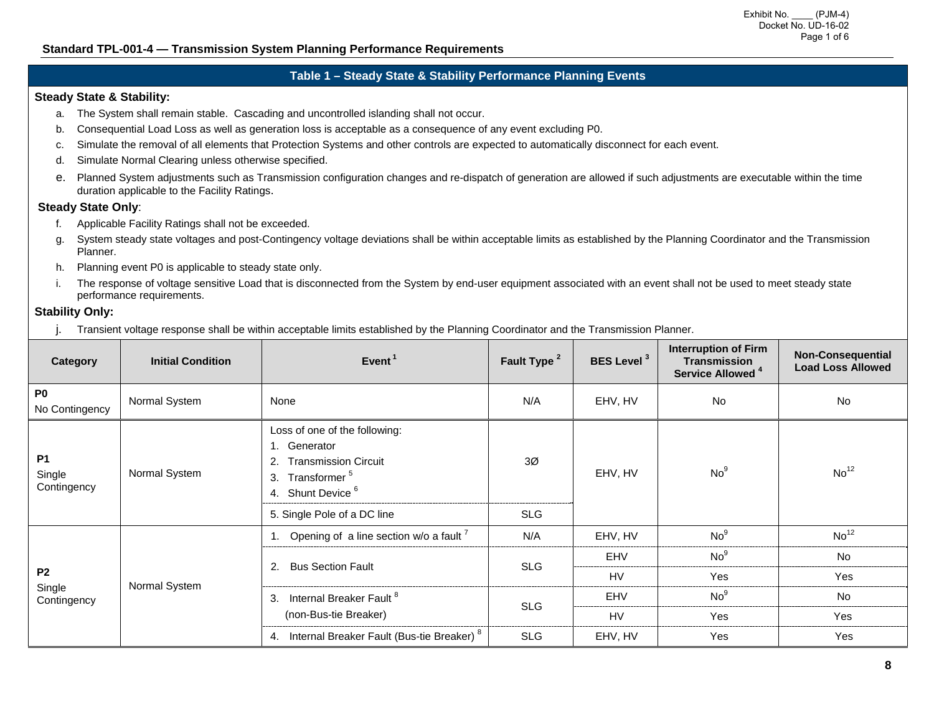### **Table 1 – Steady State & Stability Performance Planning Events**

#### **Steady State & Stability:**

- a. The System shall remain stable. Cascading and uncontrolled islanding shall not occur.
- b. Consequential Load Loss as well as generation loss is acceptable as a consequence of any event excluding P0.
- c. Simulate the removal of all elements that Protection Systems and other controls are expected to automatically disconnect for each event.
- d. Simulate Normal Clearing unless otherwise specified.
- e. Planned System adjustments such as Transmission configuration changes and re-dispatch of generation are allowed if such adjustments are executable within the time duration applicable to the Facility Ratings.

#### **Steady State Only**:

- f. Applicable Facility Ratings shall not be exceeded.
- g. System steady state voltages and post-Contingency voltage deviations shall be within acceptable limits as established by the Planning Coordinator and the Transmission Planner.
- h. Planning event P0 is applicable to steady state only.
- i. The response of voltage sensitive Load that is disconnected from the System by end-user equipment associated with an event shall not be used to meet steady state performance requirements.

#### **Stability Only:**

j. Transient voltage response shall be within acceptable limits established by the Planning Coordinator and the Transmission Planner.

| Category                           | <b>Initial Condition</b> | Event <sup>1</sup>                                                                                                                                                            | Fault Type <sup>2</sup>      | <b>BES Level<sup>3</sup></b> | <b>Interruption of Firm</b><br><b>Transmission</b><br>Service Allowed <sup>4</sup> | <b>Non-Consequential</b><br><b>Load Loss Allowed</b> |
|------------------------------------|--------------------------|-------------------------------------------------------------------------------------------------------------------------------------------------------------------------------|------------------------------|------------------------------|------------------------------------------------------------------------------------|------------------------------------------------------|
| P <sub>0</sub><br>No Contingency   | Normal System            | None                                                                                                                                                                          | N/A                          | EHV, HV                      | <b>No</b>                                                                          | <b>No</b>                                            |
| <b>P1</b><br>Single<br>Contingency | Normal System            | Loss of one of the following:<br>1. Generator<br><b>Transmission Circuit</b><br>Transformer <sup>5</sup><br>3.<br>4. Shunt Device <sup>6</sup><br>5. Single Pole of a DC line | 3 <sub>0</sub><br><b>SLG</b> | EHV, HV                      | No <sup>9</sup>                                                                    | No <sup>12</sup>                                     |
|                                    | Normal System            | Opening of a line section w/o a fault <sup>7</sup>                                                                                                                            | N/A                          | EHV, HV                      | No <sup>9</sup>                                                                    | No <sup>12</sup>                                     |
|                                    |                          | 2. Bus Section Fault                                                                                                                                                          | <b>SLG</b>                   | EHV                          | No <sup>9</sup>                                                                    | <b>No</b>                                            |
| P <sub>2</sub>                     |                          |                                                                                                                                                                               |                              | <b>HV</b>                    | Yes                                                                                | Yes                                                  |
| Single<br>Contingency              |                          | 3. Internal Breaker Fault <sup>8</sup>                                                                                                                                        | <b>SLG</b>                   | <b>EHV</b>                   | No <sup>9</sup>                                                                    | <b>No</b>                                            |
|                                    |                          | (non-Bus-tie Breaker)                                                                                                                                                         |                              | HV                           | Yes                                                                                | <b>Yes</b>                                           |
|                                    |                          | 4. Internal Breaker Fault (Bus-tie Breaker) <sup>8</sup>                                                                                                                      | <b>SLG</b>                   | EHV, HV                      | Yes                                                                                | Yes                                                  |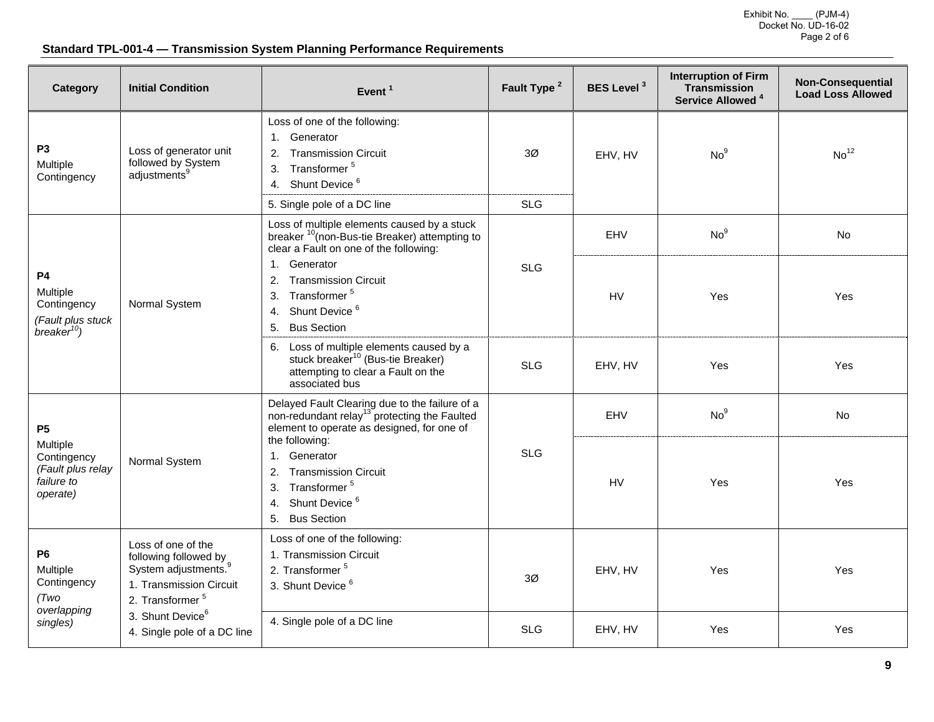Exhibit No. \_\_\_\_ (PJM-4) Docket No. UD-16-02 Page 2 of 6

# **Standard TPL-001-4 — Transmission System Planning Performance Requirements**

| Category                                                                             | <b>Initial Condition</b>                                                                                                                                                                                 | Event <sup>1</sup>                                                                                                                                                                                                                                                                                                        | Fault Type <sup>2</sup> | <b>BES Level<sup>3</sup></b> | <b>Interruption of Firm</b><br><b>Transmission</b><br>Service Allowed <sup>4</sup> | Non-Consequential<br><b>Load Loss Allowed</b> |
|--------------------------------------------------------------------------------------|----------------------------------------------------------------------------------------------------------------------------------------------------------------------------------------------------------|---------------------------------------------------------------------------------------------------------------------------------------------------------------------------------------------------------------------------------------------------------------------------------------------------------------------------|-------------------------|------------------------------|------------------------------------------------------------------------------------|-----------------------------------------------|
| P <sub>3</sub><br>Multiple<br>Contingency                                            | Loss of generator unit<br>followed by System<br>adjustments <sup>9</sup>                                                                                                                                 | Loss of one of the following:<br>1. Generator<br><b>Transmission Circuit</b><br>2.<br>Transformer <sup>5</sup><br>3.<br>4. Shunt Device <sup>6</sup>                                                                                                                                                                      | 3Ø                      | EHV, HV                      | No <sup>9</sup>                                                                    | No <sup>12</sup>                              |
|                                                                                      |                                                                                                                                                                                                          | 5. Single pole of a DC line                                                                                                                                                                                                                                                                                               | <b>SLG</b>              |                              |                                                                                    |                                               |
|                                                                                      |                                                                                                                                                                                                          | Loss of multiple elements caused by a stuck<br>breaker <sup>10</sup> (non-Bus-tie Breaker) attempting to<br>clear a Fault on one of the following:<br>1.<br>Generator<br>2. Transmission Circuit<br>3. Transformer <sup>5</sup><br>4. Shunt Device <sup>6</sup><br><b>Bus Section</b><br>5.                               |                         | <b>EHV</b>                   | No <sup>9</sup>                                                                    | <b>No</b>                                     |
| <b>P4</b><br>Multiple<br>Contingency<br>(Fault plus stuck<br>breaker <sup>10</sup> ) | Normal System                                                                                                                                                                                            |                                                                                                                                                                                                                                                                                                                           | <b>SLG</b>              | HV                           | Yes                                                                                | Yes                                           |
|                                                                                      |                                                                                                                                                                                                          | 6. Loss of multiple elements caused by a<br>stuck breaker <sup>10</sup> (Bus-tie Breaker)<br>attempting to clear a Fault on the<br>associated bus                                                                                                                                                                         | <b>SLG</b>              | EHV, HV                      | Yes                                                                                | Yes                                           |
| <b>P5</b>                                                                            | Normal System                                                                                                                                                                                            | Delayed Fault Clearing due to the failure of a<br>non-redundant relay <sup>13</sup> protecting the Faulted<br>element to operate as designed, for one of<br>the following:<br>Generator<br>1.<br><b>Transmission Circuit</b><br>2.<br>Transformer <sup>5</sup><br>3.<br>Shunt Device <sup>6</sup><br>4.<br>5. Bus Section |                         | EHV                          | No <sup>9</sup>                                                                    | <b>No</b>                                     |
| Multiple<br>Contingency<br>(Fault plus relay<br>failure to<br>operate)               |                                                                                                                                                                                                          |                                                                                                                                                                                                                                                                                                                           | <b>SLG</b>              | HV                           | Yes                                                                                | <b>Yes</b>                                    |
| <b>P6</b><br>Multiple<br>Contingency<br>(Two)<br>overlapping<br>singles)             | Loss of one of the<br>following followed by<br>System adjustments. <sup>9</sup><br>1. Transmission Circuit<br>2. Transformer <sup>5</sup><br>3. Shunt Device <sup>6</sup><br>4. Single pole of a DC line | Loss of one of the following:<br>1. Transmission Circuit<br>2. Transformer <sup>5</sup><br>3. Shunt Device <sup>6</sup>                                                                                                                                                                                                   | 3Ø                      | EHV, HV                      | Yes                                                                                | Yes                                           |
|                                                                                      |                                                                                                                                                                                                          | 4. Single pole of a DC line                                                                                                                                                                                                                                                                                               | <b>SLG</b>              | EHV, HV                      | Yes                                                                                | Yes                                           |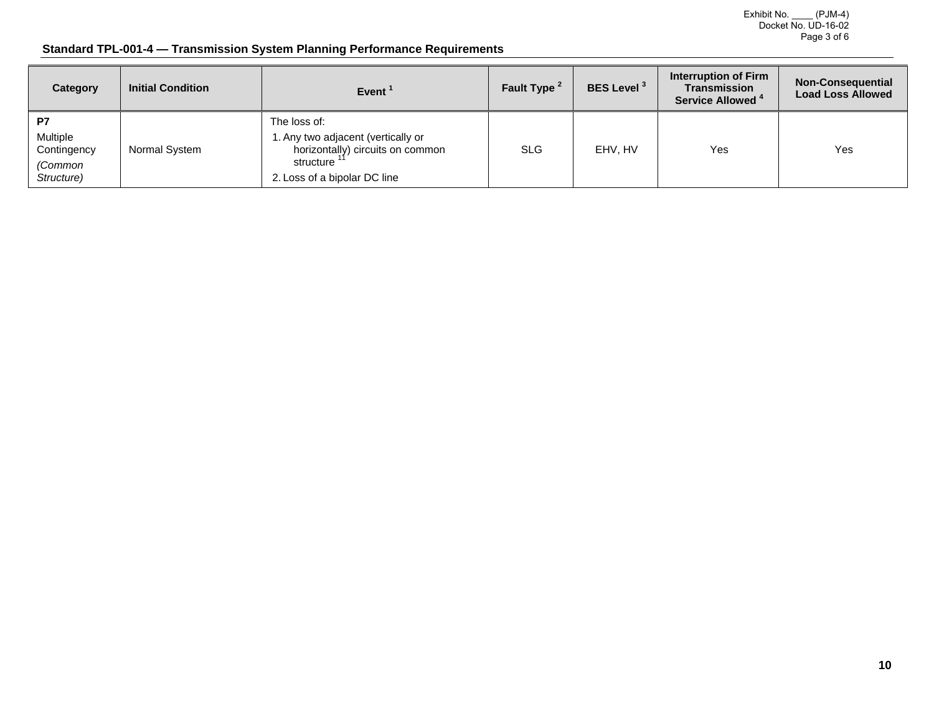Exhibit No. \_\_\_\_ (PJM-4) Docket No. UD-16-02 Page 3 of 6

# **Standard TPL-001-4 — Transmission System Planning Performance Requirements**

| Category                                               | <b>Initial Condition</b> | Event <sup>1</sup>                                                                                                                 | Fault Type <sup>2</sup> | <b>BES Level<sup>3</sup></b> | Interruption of Firm<br><b>Transmission</b><br>Service Allowed <sup>4</sup> | <b>Non-Consequential</b><br><b>Load Loss Allowed</b> |
|--------------------------------------------------------|--------------------------|------------------------------------------------------------------------------------------------------------------------------------|-------------------------|------------------------------|-----------------------------------------------------------------------------|------------------------------------------------------|
| P7<br>Multiple<br>Contingency<br>(Common<br>Structure) | Normal System            | The loss of:<br>. Any two adjacent (vertically or<br>horizontally) circuits on common<br>structure<br>2. Loss of a bipolar DC line | <b>SLG</b>              | EHV. HV                      | Yes                                                                         | Yes                                                  |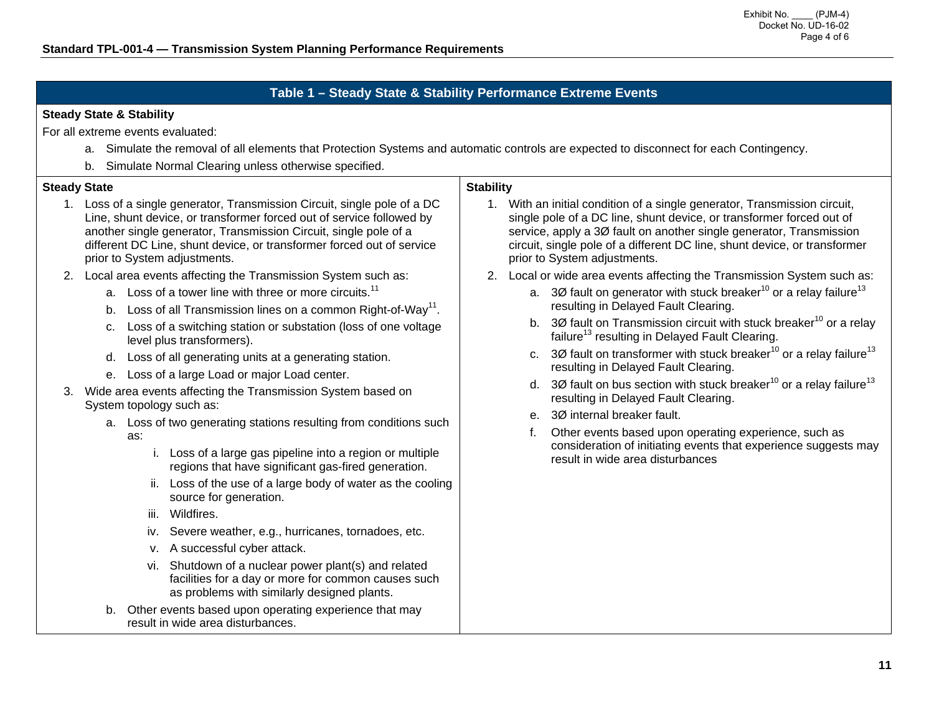# **Table 1 – Steady State & Stability Performance Extreme Events**

### **Steady State & Stability**

For all extreme events evaluated:

- a. Simulate the removal of all elements that Protection Systems and automatic controls are expected to disconnect for each Contingency.
- b. Simulate Normal Clearing unless otherwise specified.

| <b>Steady State</b> |                                                                                                                                                                                                                                                                                                                                                                                                                                                                                                                                                                                                                                                                | <b>Stability</b>                                                                                                                                                                                                                                                                                                                                                                                                                                                                                          |  |  |  |  |
|---------------------|----------------------------------------------------------------------------------------------------------------------------------------------------------------------------------------------------------------------------------------------------------------------------------------------------------------------------------------------------------------------------------------------------------------------------------------------------------------------------------------------------------------------------------------------------------------------------------------------------------------------------------------------------------------|-----------------------------------------------------------------------------------------------------------------------------------------------------------------------------------------------------------------------------------------------------------------------------------------------------------------------------------------------------------------------------------------------------------------------------------------------------------------------------------------------------------|--|--|--|--|
|                     | 1. Loss of a single generator, Transmission Circuit, single pole of a DC<br>Line, shunt device, or transformer forced out of service followed by<br>another single generator, Transmission Circuit, single pole of a<br>different DC Line, shunt device, or transformer forced out of service<br>prior to System adjustments.                                                                                                                                                                                                                                                                                                                                  | 1. With an initial condition of a single generator, Transmission circuit,<br>single pole of a DC line, shunt device, or transformer forced out of<br>service, apply a 30 fault on another single generator, Transmission<br>circuit, single pole of a different DC line, shunt device, or transformer<br>prior to System adjustments.                                                                                                                                                                     |  |  |  |  |
|                     | Local area events affecting the Transmission System such as:<br>a. Loss of a tower line with three or more circuits. <sup>11</sup><br>Loss of all Transmission lines on a common Right-of-Way <sup>11</sup> .<br>b.<br>Loss of a switching station or substation (loss of one voltage<br>C.<br>level plus transformers).<br>Loss of all generating units at a generating station.<br>d.<br>Loss of a large Load or major Load center.<br>е.                                                                                                                                                                                                                    | Local or wide area events affecting the Transmission System such as:<br>2.<br>a. 30 fault on generator with stuck breaker <sup>10</sup> or a relay failure <sup>13</sup><br>resulting in Delayed Fault Clearing.<br>b. 30 fault on Transmission circuit with stuck breaker <sup>10</sup> or a relay<br>failure <sup>13</sup> resulting in Delayed Fault Clearing.<br>c. 30 fault on transformer with stuck breaker <sup>10</sup> or a relay failure <sup>13</sup><br>resulting in Delayed Fault Clearing. |  |  |  |  |
| 3.                  | Wide area events affecting the Transmission System based on<br>System topology such as:<br>a. Loss of two generating stations resulting from conditions such<br>as:<br>i. Loss of a large gas pipeline into a region or multiple<br>regions that have significant gas-fired generation.<br>ii. Loss of the use of a large body of water as the cooling<br>source for generation.<br>Wildfires.<br>iii.<br>iv. Severe weather, e.g., hurricanes, tornadoes, etc.<br>v. A successful cyber attack.<br>vi. Shutdown of a nuclear power plant(s) and related<br>facilities for a day or more for common causes such<br>as problems with similarly designed plants. | d. 30 fault on bus section with stuck breaker <sup>10</sup> or a relay failure <sup>13</sup><br>resulting in Delayed Fault Clearing.<br>e. 30 internal breaker fault.<br>Other events based upon operating experience, such as<br>consideration of initiating events that experience suggests may<br>result in wide area disturbances                                                                                                                                                                     |  |  |  |  |
|                     | Other events based upon operating experience that may<br>b.<br>result in wide area disturbances.                                                                                                                                                                                                                                                                                                                                                                                                                                                                                                                                                               |                                                                                                                                                                                                                                                                                                                                                                                                                                                                                                           |  |  |  |  |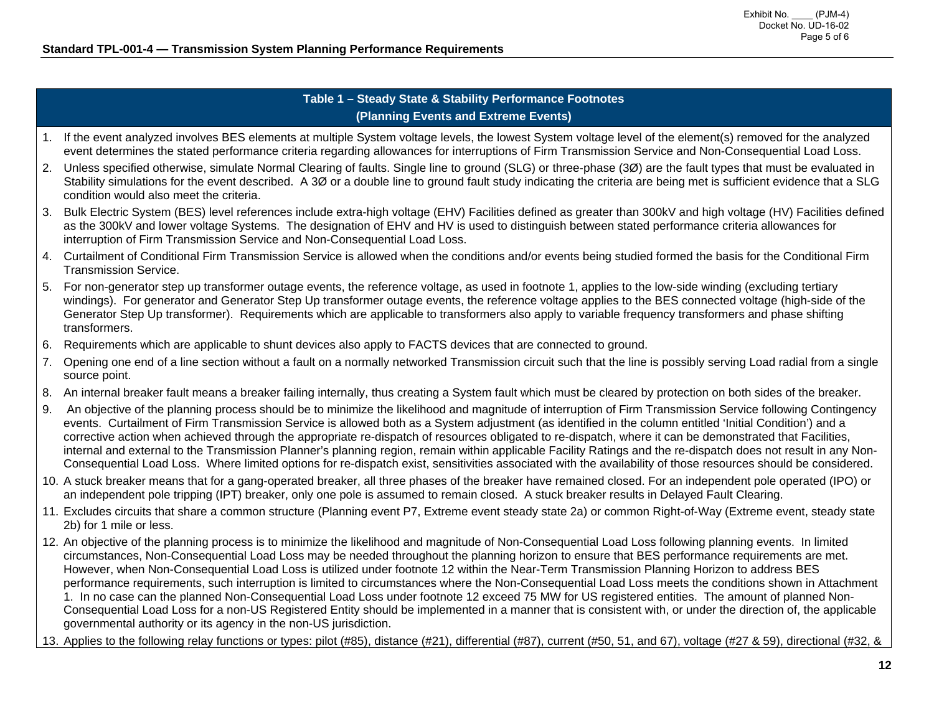## **Table 1 – Steady State & Stability Performance Footnotes (Planning Events and Extreme Events)**

- 1. If the event analyzed involves BES elements at multiple System voltage levels, the lowest System voltage level of the element(s) removed for the analyzed event determines the stated performance criteria regarding allowances for interruptions of Firm Transmission Service and Non-Consequential Load Loss.
- 2. Unless specified otherwise, simulate Normal Clearing of faults. Single line to ground (SLG) or three-phase (3Ø) are the fault types that must be evaluated in Stability simulations for the event described. A 3Ø or a double line to ground fault study indicating the criteria are being met is sufficient evidence that a SLG condition would also meet the criteria.
- 3. Bulk Electric System (BES) level references include extra-high voltage (EHV) Facilities defined as greater than 300kV and high voltage (HV) Facilities defined as the 300kV and lower voltage Systems. The designation of EHV and HV is used to distinguish between stated performance criteria allowances for interruption of Firm Transmission Service and Non-Consequential Load Loss.
- 4. Curtailment of Conditional Firm Transmission Service is allowed when the conditions and/or events being studied formed the basis for the Conditional Firm Transmission Service.
- 5. For non-generator step up transformer outage events, the reference voltage, as used in footnote 1, applies to the low-side winding (excluding tertiary windings). For generator and Generator Step Up transformer outage events, the reference voltage applies to the BES connected voltage (high-side of the Generator Step Up transformer). Requirements which are applicable to transformers also apply to variable frequency transformers and phase shifting transformers.
- 6. Requirements which are applicable to shunt devices also apply to FACTS devices that are connected to ground.
- 7. Opening one end of a line section without a fault on a normally networked Transmission circuit such that the line is possibly serving Load radial from a single source point.
- 8. An internal breaker fault means a breaker failing internally, thus creating a System fault which must be cleared by protection on both sides of the breaker.
- 9. An objective of the planning process should be to minimize the likelihood and magnitude of interruption of Firm Transmission Service following Contingency events. Curtailment of Firm Transmission Service is allowed both as a System adjustment (as identified in the column entitled 'Initial Condition') and a corrective action when achieved through the appropriate re-dispatch of resources obligated to re-dispatch, where it can be demonstrated that Facilities, internal and external to the Transmission Planner's planning region, remain within applicable Facility Ratings and the re-dispatch does not result in any Non-Consequential Load Loss. Where limited options for re-dispatch exist, sensitivities associated with the availability of those resources should be considered.
- 10. A stuck breaker means that for a gang-operated breaker, all three phases of the breaker have remained closed. For an independent pole operated (IPO) or an independent pole tripping (IPT) breaker, only one pole is assumed to remain closed. A stuck breaker results in Delayed Fault Clearing.
- 11. Excludes circuits that share a common structure (Planning event P7, Extreme event steady state 2a) or common Right-of-Way (Extreme event, steady state 2b) for 1 mile or less.
- 12. An objective of the planning process is to minimize the likelihood and magnitude of Non-Consequential Load Loss following planning events. In limited circumstances, Non-Consequential Load Loss may be needed throughout the planning horizon to ensure that BES performance requirements are met. However, when Non-Consequential Load Loss is utilized under footnote 12 within the Near-Term Transmission Planning Horizon to address BES performance requirements, such interruption is limited to circumstances where the Non-Consequential Load Loss meets the conditions shown in Attachment 1. In no case can the planned Non-Consequential Load Loss under footnote 12 exceed 75 MW for US registered entities. The amount of planned Non-Consequential Load Loss for a non-US Registered Entity should be implemented in a manner that is consistent with, or under the direction of, the applicable governmental authority or its agency in the non-US jurisdiction.
- 13. Applies to the following relay functions or types: pilot (#85), distance (#21), differential (#87), current (#50, 51, and 67), voltage (#27 & 59), directional (#32, &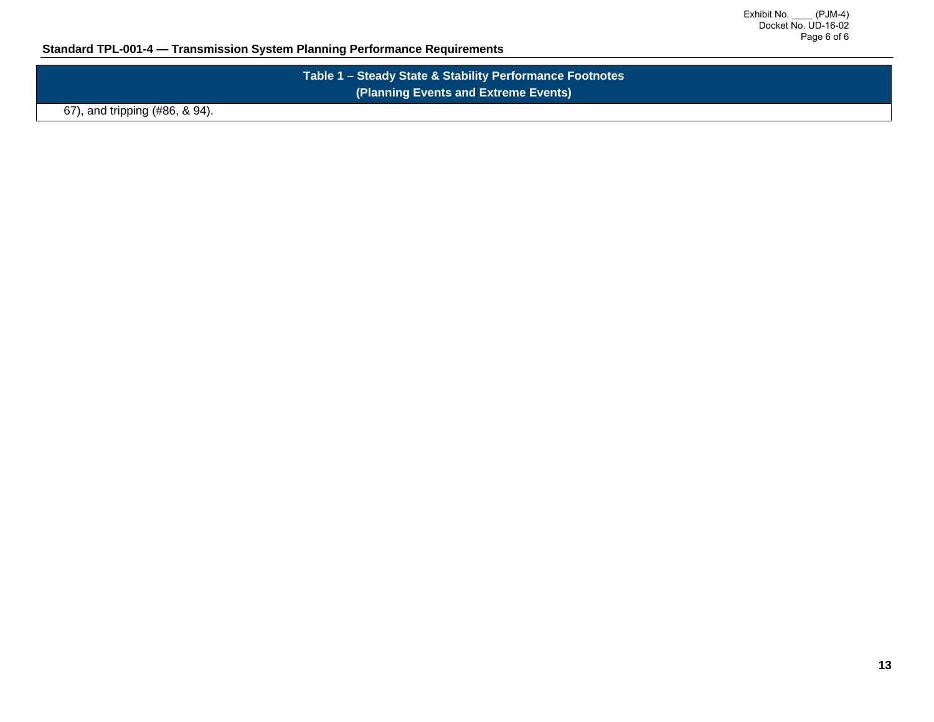# **Standard TPL-001-4 — Transmission System Planning Performance Requirements**

| Table 1 – Steady State & Stability Performance Footnotes |  |
|----------------------------------------------------------|--|
| (Planning Events and Extreme Events)                     |  |

67), and tripping (#86, & 94).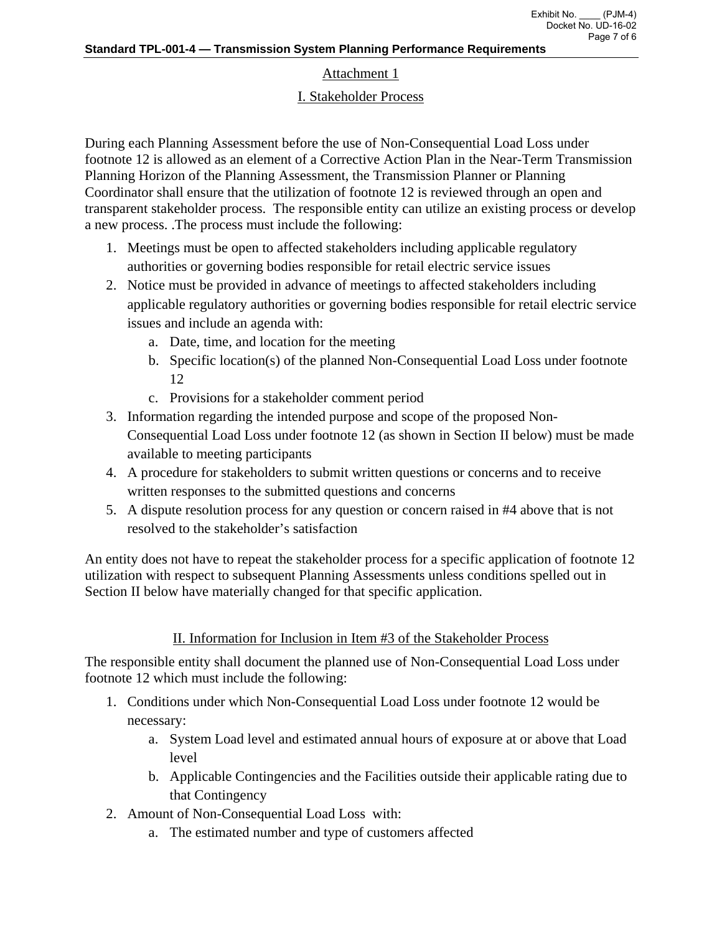# Attachment 1

# I. Stakeholder Process

During each Planning Assessment before the use of Non-Consequential Load Loss under footnote 12 is allowed as an element of a Corrective Action Plan in the Near-Term Transmission Planning Horizon of the Planning Assessment, the Transmission Planner or Planning Coordinator shall ensure that the utilization of footnote 12 is reviewed through an open and transparent stakeholder process. The responsible entity can utilize an existing process or develop a new process. .The process must include the following:

- 1. Meetings must be open to affected stakeholders including applicable regulatory authorities or governing bodies responsible for retail electric service issues
- 2. Notice must be provided in advance of meetings to affected stakeholders including applicable regulatory authorities or governing bodies responsible for retail electric service issues and include an agenda with:
	- a. Date, time, and location for the meeting
	- b. Specific location(s) of the planned Non-Consequential Load Loss under footnote 12
	- c. Provisions for a stakeholder comment period
- 3. Information regarding the intended purpose and scope of the proposed Non-Consequential Load Loss under footnote 12 (as shown in Section II below) must be made available to meeting participants
- 4. A procedure for stakeholders to submit written questions or concerns and to receive written responses to the submitted questions and concerns
- 5. A dispute resolution process for any question or concern raised in #4 above that is not resolved to the stakeholder's satisfaction

An entity does not have to repeat the stakeholder process for a specific application of footnote 12 utilization with respect to subsequent Planning Assessments unless conditions spelled out in Section II below have materially changed for that specific application.

# II. Information for Inclusion in Item #3 of the Stakeholder Process

The responsible entity shall document the planned use of Non-Consequential Load Loss under footnote 12 which must include the following:

- 1. Conditions under which Non-Consequential Load Loss under footnote 12 would be necessary:
	- a. System Load level and estimated annual hours of exposure at or above that Load level
	- b. Applicable Contingencies and the Facilities outside their applicable rating due to that Contingency
- 2. Amount of Non-Consequential Load Loss with:
	- a. The estimated number and type of customers affected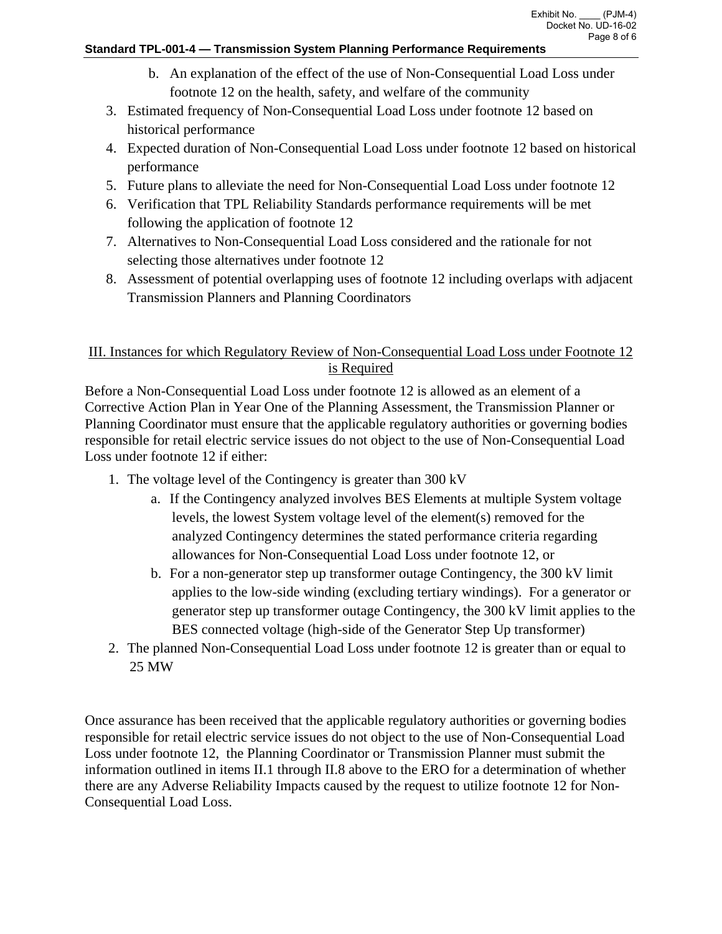### **Standard TPL-001-4 — Transmission System Planning Performance Requirements**

- b. An explanation of the effect of the use of Non-Consequential Load Loss under footnote 12 on the health, safety, and welfare of the community
- 3. Estimated frequency of Non-Consequential Load Loss under footnote 12 based on historical performance
- 4. Expected duration of Non-Consequential Load Loss under footnote 12 based on historical performance
- 5. Future plans to alleviate the need for Non-Consequential Load Loss under footnote 12
- 6. Verification that TPL Reliability Standards performance requirements will be met following the application of footnote 12
- 7. Alternatives to Non-Consequential Load Loss considered and the rationale for not selecting those alternatives under footnote 12
- 8. Assessment of potential overlapping uses of footnote 12 including overlaps with adjacent Transmission Planners and Planning Coordinators

# III. Instances for which Regulatory Review of Non-Consequential Load Loss under Footnote 12 is Required

Before a Non-Consequential Load Loss under footnote 12 is allowed as an element of a Corrective Action Plan in Year One of the Planning Assessment, the Transmission Planner or Planning Coordinator must ensure that the applicable regulatory authorities or governing bodies responsible for retail electric service issues do not object to the use of Non-Consequential Load Loss under footnote 12 if either:

- 1. The voltage level of the Contingency is greater than 300 kV
	- a. If the Contingency analyzed involves BES Elements at multiple System voltage levels, the lowest System voltage level of the element(s) removed for the analyzed Contingency determines the stated performance criteria regarding allowances for Non-Consequential Load Loss under footnote 12, or
	- b. For a non-generator step up transformer outage Contingency, the 300 kV limit applies to the low-side winding (excluding tertiary windings). For a generator or generator step up transformer outage Contingency, the 300 kV limit applies to the BES connected voltage (high-side of the Generator Step Up transformer)
- 2. The planned Non-Consequential Load Loss under footnote 12 is greater than or equal to 25 MW

Once assurance has been received that the applicable regulatory authorities or governing bodies responsible for retail electric service issues do not object to the use of Non-Consequential Load Loss under footnote 12, the Planning Coordinator or Transmission Planner must submit the information outlined in items II.1 through II.8 above to the ERO for a determination of whether there are any Adverse Reliability Impacts caused by the request to utilize footnote 12 for Non-Consequential Load Loss.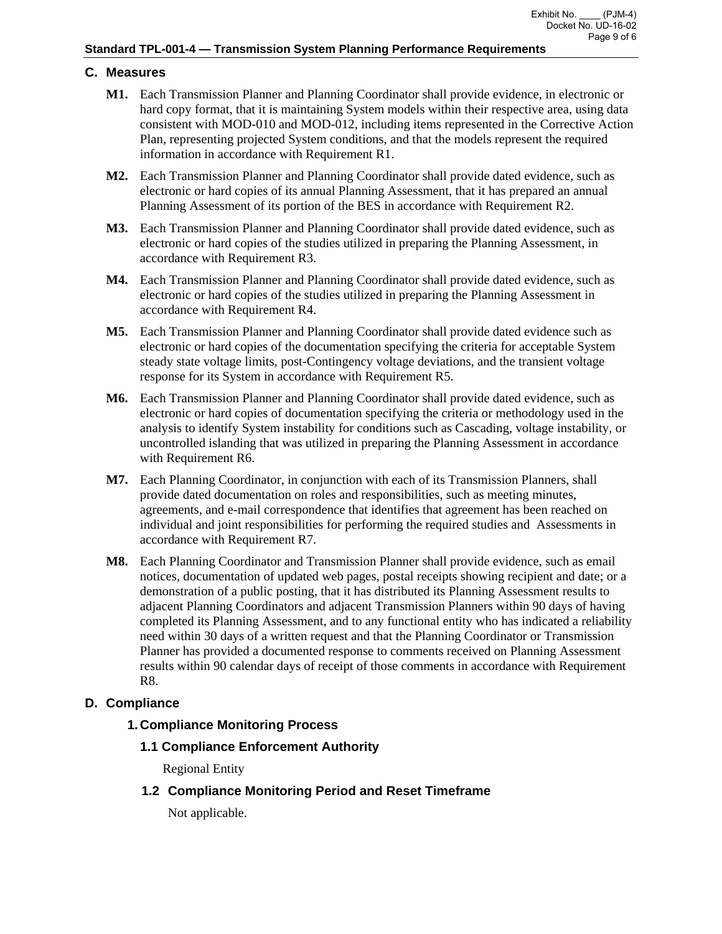# **C. Measures**

- **M1.** Each Transmission Planner and Planning Coordinator shall provide evidence, in electronic or hard copy format, that it is maintaining System models within their respective area, using data consistent with MOD-010 and MOD-012, including items represented in the Corrective Action Plan, representing projected System conditions, and that the models represent the required information in accordance with Requirement R1.
- **M2.** Each Transmission Planner and Planning Coordinator shall provide dated evidence, such as electronic or hard copies of its annual Planning Assessment, that it has prepared an annual Planning Assessment of its portion of the BES in accordance with Requirement R2.
- **M3.** Each Transmission Planner and Planning Coordinator shall provide dated evidence, such as electronic or hard copies of the studies utilized in preparing the Planning Assessment, in accordance with Requirement R3.
- **M4.** Each Transmission Planner and Planning Coordinator shall provide dated evidence, such as electronic or hard copies of the studies utilized in preparing the Planning Assessment in accordance with Requirement R4.
- **M5.** Each Transmission Planner and Planning Coordinator shall provide dated evidence such as electronic or hard copies of the documentation specifying the criteria for acceptable System steady state voltage limits, post-Contingency voltage deviations, and the transient voltage response for its System in accordance with Requirement R5.
- **M6.** Each Transmission Planner and Planning Coordinator shall provide dated evidence, such as electronic or hard copies of documentation specifying the criteria or methodology used in the analysis to identify System instability for conditions such as Cascading, voltage instability, or uncontrolled islanding that was utilized in preparing the Planning Assessment in accordance with Requirement R6.
- **M7.** Each Planning Coordinator, in conjunction with each of its Transmission Planners, shall provide dated documentation on roles and responsibilities, such as meeting minutes, agreements, and e-mail correspondence that identifies that agreement has been reached on individual and joint responsibilities for performing the required studies and Assessments in accordance with Requirement R7.
- **M8.** Each Planning Coordinator and Transmission Planner shall provide evidence, such as email notices, documentation of updated web pages, postal receipts showing recipient and date; or a demonstration of a public posting, that it has distributed its Planning Assessment results to adjacent Planning Coordinators and adjacent Transmission Planners within 90 days of having completed its Planning Assessment, and to any functional entity who has indicated a reliability need within 30 days of a written request and that the Planning Coordinator or Transmission Planner has provided a documented response to comments received on Planning Assessment results within 90 calendar days of receipt of those comments in accordance with Requirement R8.

# **D. Compliance**

# **1. Compliance Monitoring Process**

 **1.1 Compliance Enforcement Authority** 

Regional Entity

**1.2 Compliance Monitoring Period and Reset Timeframe** 

Not applicable.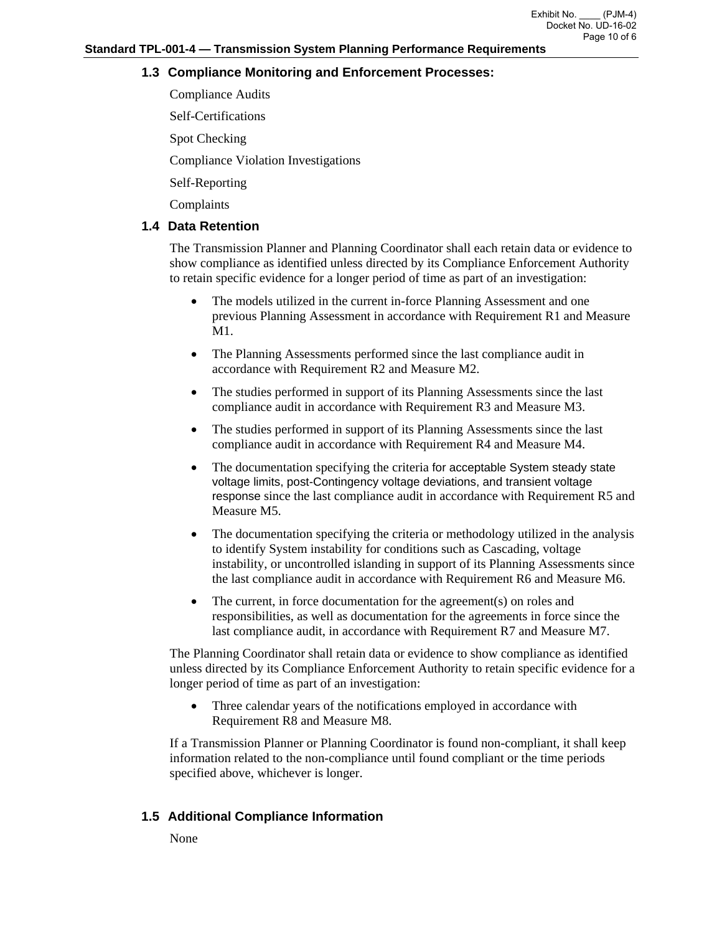# **1.3 Compliance Monitoring and Enforcement Processes:**

Compliance Audits

Self-Certifications

Spot Checking

Compliance Violation Investigations

Self-Reporting

Complaints

## **1.4 Data Retention**

The Transmission Planner and Planning Coordinator shall each retain data or evidence to show compliance as identified unless directed by its Compliance Enforcement Authority to retain specific evidence for a longer period of time as part of an investigation:

- The models utilized in the current in-force Planning Assessment and one previous Planning Assessment in accordance with Requirement R1 and Measure M1.
- The Planning Assessments performed since the last compliance audit in accordance with Requirement R2 and Measure M2.
- The studies performed in support of its Planning Assessments since the last compliance audit in accordance with Requirement R3 and Measure M3.
- The studies performed in support of its Planning Assessments since the last compliance audit in accordance with Requirement R4 and Measure M4.
- The documentation specifying the criteria for acceptable System steady state voltage limits, post-Contingency voltage deviations, and transient voltage response since the last compliance audit in accordance with Requirement R5 and Measure M5.
- The documentation specifying the criteria or methodology utilized in the analysis to identify System instability for conditions such as Cascading, voltage instability, or uncontrolled islanding in support of its Planning Assessments since the last compliance audit in accordance with Requirement R6 and Measure M6.
- The current, in force documentation for the agreement(s) on roles and responsibilities, as well as documentation for the agreements in force since the last compliance audit, in accordance with Requirement R7 and Measure M7.

The Planning Coordinator shall retain data or evidence to show compliance as identified unless directed by its Compliance Enforcement Authority to retain specific evidence for a longer period of time as part of an investigation:

 Three calendar years of the notifications employed in accordance with Requirement R8 and Measure M8.

If a Transmission Planner or Planning Coordinator is found non-compliant, it shall keep information related to the non-compliance until found compliant or the time periods specified above, whichever is longer.

# **1.5 Additional Compliance Information**

None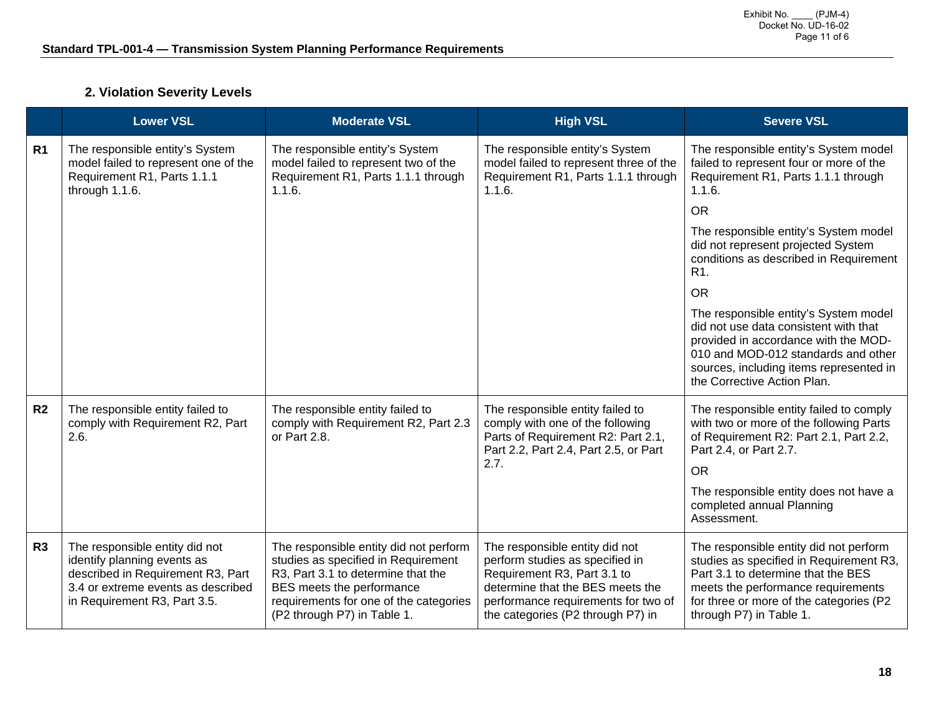# **2. Violation Severity Levels**

|                | <b>Lower VSL</b>                                                                                                                                                         | <b>Moderate VSL</b>                                                                                                                                                                                                       | <b>High VSL</b>                                                                                                                                                                                                  | <b>Severe VSL</b>                                                                                                                                                                                                                       |
|----------------|--------------------------------------------------------------------------------------------------------------------------------------------------------------------------|---------------------------------------------------------------------------------------------------------------------------------------------------------------------------------------------------------------------------|------------------------------------------------------------------------------------------------------------------------------------------------------------------------------------------------------------------|-----------------------------------------------------------------------------------------------------------------------------------------------------------------------------------------------------------------------------------------|
| R <sub>1</sub> | The responsible entity's System<br>model failed to represent one of the<br>Requirement R1, Parts 1.1.1<br>through 1.1.6.                                                 | The responsible entity's System<br>model failed to represent two of the<br>Requirement R1, Parts 1.1.1 through<br>1.1.6.                                                                                                  | The responsible entity's System<br>model failed to represent three of the<br>Requirement R1, Parts 1.1.1 through<br>1.1.6.                                                                                       | The responsible entity's System model<br>failed to represent four or more of the<br>Requirement R1, Parts 1.1.1 through<br>1.1.6.                                                                                                       |
|                |                                                                                                                                                                          |                                                                                                                                                                                                                           |                                                                                                                                                                                                                  | <b>OR</b>                                                                                                                                                                                                                               |
|                |                                                                                                                                                                          |                                                                                                                                                                                                                           |                                                                                                                                                                                                                  | The responsible entity's System model<br>did not represent projected System<br>conditions as described in Requirement<br>R <sub>1</sub> .                                                                                               |
|                |                                                                                                                                                                          |                                                                                                                                                                                                                           |                                                                                                                                                                                                                  | <b>OR</b>                                                                                                                                                                                                                               |
|                |                                                                                                                                                                          |                                                                                                                                                                                                                           |                                                                                                                                                                                                                  | The responsible entity's System model<br>did not use data consistent with that<br>provided in accordance with the MOD-<br>010 and MOD-012 standards and other<br>sources, including items represented in<br>the Corrective Action Plan. |
| R <sub>2</sub> | The responsible entity failed to<br>comply with Requirement R2, Part<br>2.6.                                                                                             | The responsible entity failed to<br>comply with Requirement R2, Part 2.3<br>or Part 2.8.                                                                                                                                  | The responsible entity failed to<br>comply with one of the following<br>Parts of Requirement R2: Part 2.1,<br>Part 2.2, Part 2.4, Part 2.5, or Part                                                              | The responsible entity failed to comply<br>with two or more of the following Parts<br>of Requirement R2: Part 2.1, Part 2.2,<br>Part 2.4, or Part 2.7.                                                                                  |
|                |                                                                                                                                                                          |                                                                                                                                                                                                                           | 2.7.                                                                                                                                                                                                             | <b>OR</b>                                                                                                                                                                                                                               |
|                |                                                                                                                                                                          |                                                                                                                                                                                                                           |                                                                                                                                                                                                                  | The responsible entity does not have a<br>completed annual Planning<br>Assessment.                                                                                                                                                      |
| R3             | The responsible entity did not<br>identify planning events as<br>described in Requirement R3, Part<br>3.4 or extreme events as described<br>in Requirement R3, Part 3.5. | The responsible entity did not perform<br>studies as specified in Requirement<br>R3, Part 3.1 to determine that the<br>BES meets the performance<br>requirements for one of the categories<br>(P2 through P7) in Table 1. | The responsible entity did not<br>perform studies as specified in<br>Requirement R3, Part 3.1 to<br>determine that the BES meets the<br>performance requirements for two of<br>the categories (P2 through P7) in | The responsible entity did not perform<br>studies as specified in Requirement R3,<br>Part 3.1 to determine that the BES<br>meets the performance requirements<br>for three or more of the categories (P2<br>through P7) in Table 1.     |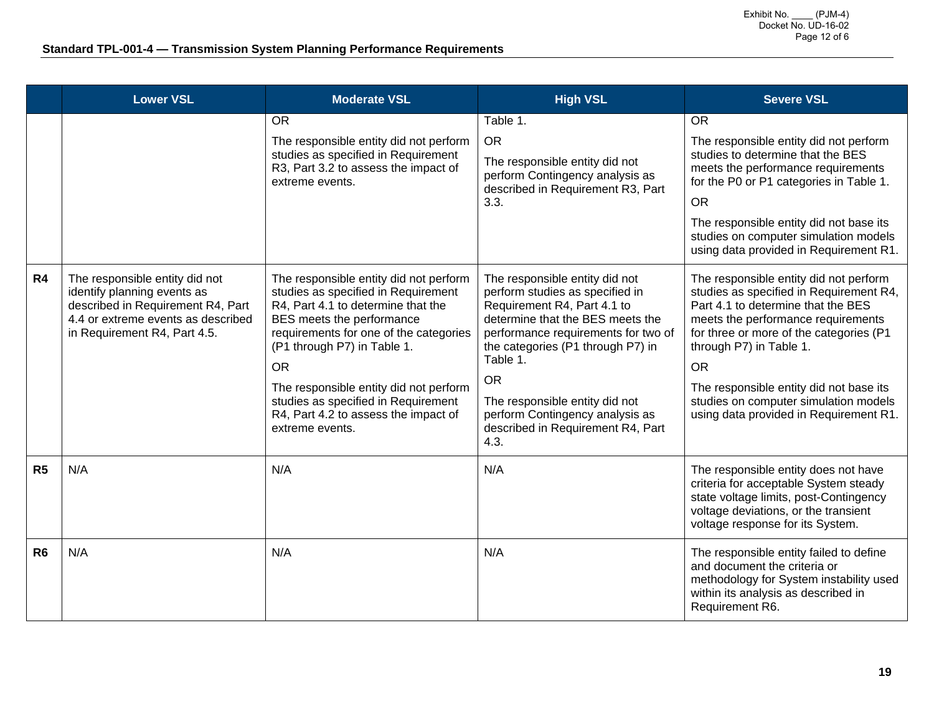|                | <b>Lower VSL</b>                                                                                                                                                         | <b>Moderate VSL</b>                                                                                                                                                                                                                                                                                                                                                                | <b>High VSL</b>                                                                                                                                                                                                                                                                                                                                             | <b>Severe VSL</b>                                                                                                                                                                                                                                                                                                                                                              |
|----------------|--------------------------------------------------------------------------------------------------------------------------------------------------------------------------|------------------------------------------------------------------------------------------------------------------------------------------------------------------------------------------------------------------------------------------------------------------------------------------------------------------------------------------------------------------------------------|-------------------------------------------------------------------------------------------------------------------------------------------------------------------------------------------------------------------------------------------------------------------------------------------------------------------------------------------------------------|--------------------------------------------------------------------------------------------------------------------------------------------------------------------------------------------------------------------------------------------------------------------------------------------------------------------------------------------------------------------------------|
|                |                                                                                                                                                                          | <b>OR</b><br>The responsible entity did not perform<br>studies as specified in Requirement<br>R3, Part 3.2 to assess the impact of<br>extreme events.                                                                                                                                                                                                                              | Table 1.<br><b>OR</b><br>The responsible entity did not<br>perform Contingency analysis as<br>described in Requirement R3, Part<br>3.3.                                                                                                                                                                                                                     | <b>OR</b><br>The responsible entity did not perform<br>studies to determine that the BES<br>meets the performance requirements<br>for the P0 or P1 categories in Table 1.<br><b>OR</b><br>The responsible entity did not base its<br>studies on computer simulation models<br>using data provided in Requirement R1.                                                           |
| R4             | The responsible entity did not<br>identify planning events as<br>described in Requirement R4, Part<br>4.4 or extreme events as described<br>in Requirement R4, Part 4.5. | The responsible entity did not perform<br>studies as specified in Requirement<br>R4, Part 4.1 to determine that the<br>BES meets the performance<br>requirements for one of the categories<br>(P1 through P7) in Table 1.<br><b>OR</b><br>The responsible entity did not perform<br>studies as specified in Requirement<br>R4, Part 4.2 to assess the impact of<br>extreme events. | The responsible entity did not<br>perform studies as specified in<br>Requirement R4, Part 4.1 to<br>determine that the BES meets the<br>performance requirements for two of<br>the categories (P1 through P7) in<br>Table 1.<br><b>OR</b><br>The responsible entity did not<br>perform Contingency analysis as<br>described in Requirement R4, Part<br>4.3. | The responsible entity did not perform<br>studies as specified in Requirement R4,<br>Part 4.1 to determine that the BES<br>meets the performance requirements<br>for three or more of the categories (P1<br>through P7) in Table 1.<br><b>OR</b><br>The responsible entity did not base its<br>studies on computer simulation models<br>using data provided in Requirement R1. |
| R <sub>5</sub> | N/A                                                                                                                                                                      | N/A                                                                                                                                                                                                                                                                                                                                                                                | N/A                                                                                                                                                                                                                                                                                                                                                         | The responsible entity does not have<br>criteria for acceptable System steady<br>state voltage limits, post-Contingency<br>voltage deviations, or the transient<br>voltage response for its System.                                                                                                                                                                            |
| R <sub>6</sub> | N/A                                                                                                                                                                      | N/A                                                                                                                                                                                                                                                                                                                                                                                | N/A                                                                                                                                                                                                                                                                                                                                                         | The responsible entity failed to define<br>and document the criteria or<br>methodology for System instability used<br>within its analysis as described in<br>Requirement R6.                                                                                                                                                                                                   |